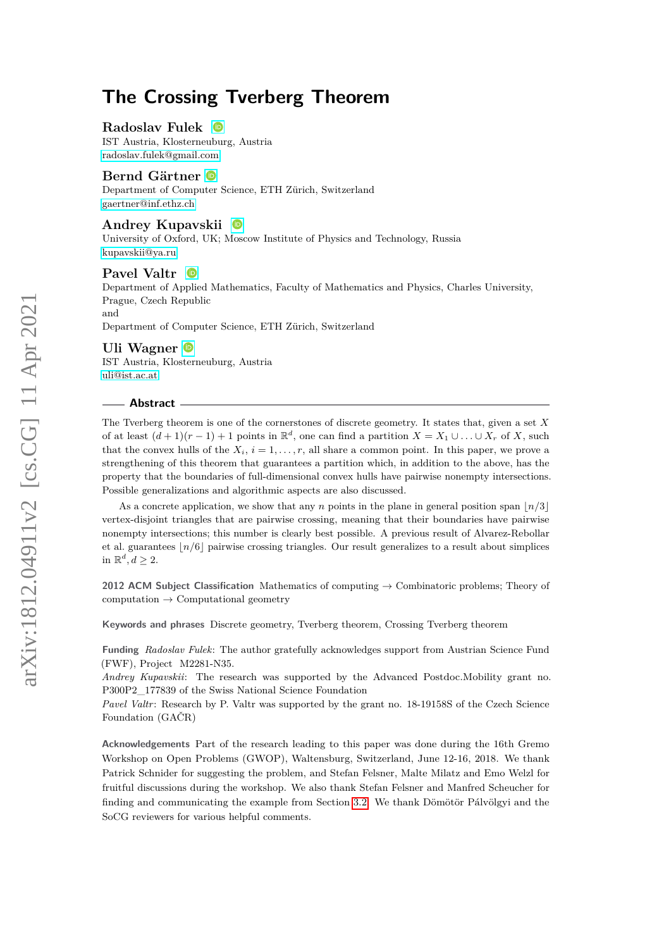## **Radoslav Fulek**

IST Austria, Klosterneuburg, Austria [radoslav.fulek@gmail.com](mailto:radoslav.fulek@gmail.com)

#### **Bernd Gärtner**

Department of Computer Science, ETH Zürich, Switzerland [gaertner@inf.ethz.ch](mailto:gaertner@inf.ethz.ch)

#### **Andrey Kupavskii**

University of Oxford, UK; Moscow Institute of Physics and Technology, Russia [kupavskii@ya.ru](mailto:kupavskii@ya.ru)

#### **Pavel Valtr**  $\bullet$

Department of Applied Mathematics, Faculty of Mathematics and Physics, Charles University, Prague, Czech Republic and

Department of Computer Science, ETH Zürich, Switzerland

#### **Uli Wagner**

IST Austria, Klosterneuburg, Austria [uli@ist.ac.at](mailto:uli@ist.ac.at)

#### **Abstract**

The Tverberg theorem is one of the cornerstones of discrete geometry. It states that, given a set *X* of at least  $(d+1)(r-1)+1$  points in  $\mathbb{R}^d$ , one can find a partition  $X = X_1 \cup \ldots \cup X_r$  of X, such that the convex hulls of the  $X_i$ ,  $i = 1, \ldots, r$ , all share a common point. In this paper, we prove a strengthening of this theorem that guarantees a partition which, in addition to the above, has the property that the boundaries of full-dimensional convex hulls have pairwise nonempty intersections. Possible generalizations and algorithmic aspects are also discussed.

As a concrete application, we show that any *n* points in the plane in general position span  $\lfloor n/3 \rfloor$ vertex-disjoint triangles that are pairwise crossing, meaning that their boundaries have pairwise nonempty intersections; this number is clearly best possible. A previous result of Alvarez-Rebollar et al. guarantees  $n/6$  pairwise crossing triangles. Our result generalizes to a result about simplices in  $\mathbb{R}^d, d \geq 2$ .

**2012 ACM Subject Classification** Mathematics of computing → Combinatoric problems; Theory of computation  $\rightarrow$  Computational geometry

**Keywords and phrases** Discrete geometry, Tverberg theorem, Crossing Tverberg theorem

**Funding** *Radoslav Fulek*: The author gratefully acknowledges support from Austrian Science Fund (FWF), Project M2281-N35.

*Andrey Kupavskii*: The research was supported by the Advanced Postdoc.Mobility grant no. P300P2\_177839 of the Swiss National Science Foundation

*Pavel Valtr*: Research by P. Valtr was supported by the grant no. 18-19158S of the Czech Science Foundation (GAČR)

**Acknowledgements** Part of the research leading to this paper was done during the 16th Gremo Workshop on Open Problems (GWOP), Waltensburg, Switzerland, June 12-16, 2018. We thank Patrick Schnider for suggesting the problem, and Stefan Felsner, Malte Milatz and Emo Welzl for fruitful discussions during the workshop. We also thank Stefan Felsner and Manfred Scheucher for finding and communicating the example from Section [3.2.](#page-10-0) We thank Dömötör Pálvölgyi and the SoCG reviewers for various helpful comments.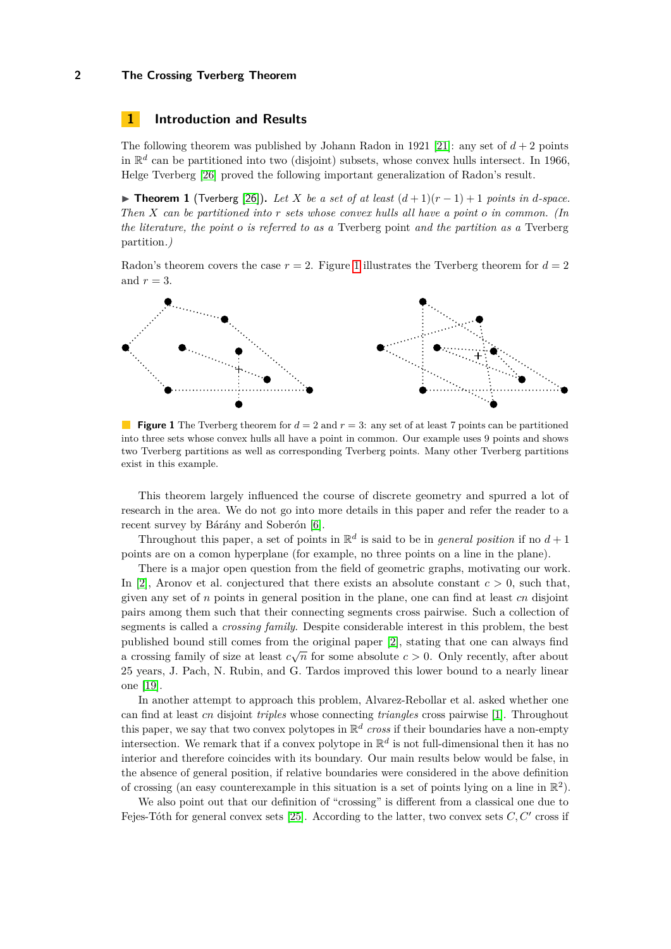## **1 Introduction and Results**

The following theorem was published by Johann Radon in 1921 [\[21\]](#page-12-0): any set of  $d+2$  points in  $\mathbb{R}^d$  can be partitioned into two (disjoint) subsets, whose convex hulls intersect. In 1966, Helge Tverberg [\[26\]](#page-13-0) proved the following important generalization of Radon's result.

<span id="page-1-1"></span>**► Theorem 1** (Tverberg [\[26\]](#page-13-0)). Let *X* be a set of at least  $(d+1)(r-1)+1$  points in *d*-space. *Then X can be partitioned into r sets whose convex hulls all have a point o in common. (In the literature, the point o is referred to as a* Tverberg point *and the partition as a* Tverberg partition*.)*

Radon's theorem covers the case  $r = 2$ . Figure [1](#page-1-0) illustrates the Tverberg theorem for  $d = 2$ and  $r = 3$ .

<span id="page-1-0"></span>

**Figure 1** The Tverberg theorem for  $d = 2$  and  $r = 3$ : any set of at least 7 points can be partitioned into three sets whose convex hulls all have a point in common. Our example uses 9 points and shows two Tverberg partitions as well as corresponding Tverberg points. Many other Tverberg partitions exist in this example.

This theorem largely influenced the course of discrete geometry and spurred a lot of research in the area. We do not go into more details in this paper and refer the reader to a recent survey by Bárány and Soberón [\[6\]](#page-12-1).

Throughout this paper, a set of points in  $\mathbb{R}^d$  is said to be in *general position* if no  $d+1$ points are on a comon hyperplane (for example, no three points on a line in the plane).

There is a major open question from the field of geometric graphs, motivating our work. In [\[2\]](#page-11-0), Aronov et al. conjectured that there exists an absolute constant  $c > 0$ , such that, given any set of *n* points in general position in the plane, one can find at least *cn* disjoint pairs among them such that their connecting segments cross pairwise. Such a collection of segments is called a *crossing family*. Despite considerable interest in this problem, the best published bound still comes from the original paper [\[2\]](#page-11-0), stating that one can always find published bound still comes from the original paper [2], stating that one can always find<br>a crossing family of size at least  $c\sqrt{n}$  for some absolute  $c > 0$ . Only recently, after about 25 years, J. Pach, N. Rubin, and G. Tardos improved this lower bound to a nearly linear one [\[19\]](#page-12-2).

In another attempt to approach this problem, Alvarez-Rebollar et al. asked whether one can find at least *cn* disjoint *triples* whose connecting *triangles* cross pairwise [\[1\]](#page-11-1). Throughout this paper, we say that two convex polytopes in  $\mathbb{R}^d$  cross if their boundaries have a non-empty intersection. We remark that if a convex polytope in  $\mathbb{R}^d$  is not full-dimensional then it has no interior and therefore coincides with its boundary. Our main results below would be false, in the absence of general position, if relative boundaries were considered in the above definition of crossing (an easy counterexample in this situation is a set of points lying on a line in  $\mathbb{R}^2$ ).

We also point out that our definition of "crossing" is different from a classical one due to Fejes-Tóth for general convex sets  $[25]$ . According to the latter, two convex sets  $C, C'$  cross if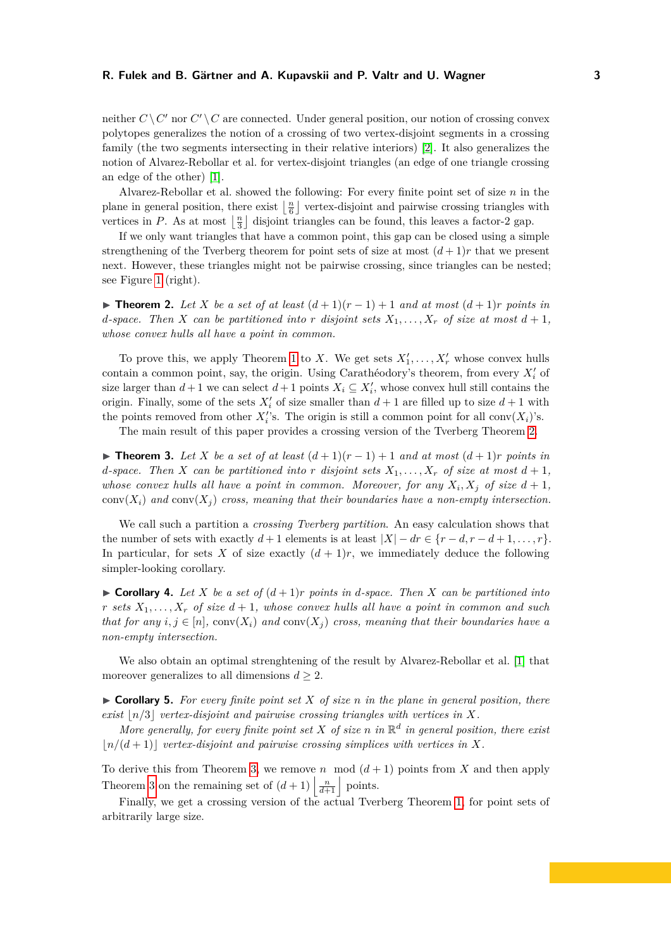neither  $C \setminus C'$  nor  $C' \setminus C$  are connected. Under general position, our notion of crossing convex polytopes generalizes the notion of a crossing of two vertex-disjoint segments in a crossing family (the two segments intersecting in their relative interiors) [\[2\]](#page-11-0). It also generalizes the notion of Alvarez-Rebollar et al. for vertex-disjoint triangles (an edge of one triangle crossing an edge of the other) [\[1\]](#page-11-1).

Alvarez-Rebollar et al. showed the following: For every finite point set of size *n* in the plane in general position, there exist  $\lfloor \frac{n}{6} \rfloor$  vertex-disjoint and pairwise crossing triangles with vertices in *P*. As at most  $\lfloor \frac{n}{3} \rfloor$  disjoint triangles can be found, this leaves a factor-2 gap.

If we only want triangles that have a common point, this gap can be closed using a simple strengthening of the Tverberg theorem for point sets of size at most  $(d+1)r$  that we present next. However, these triangles might not be pairwise crossing, since triangles can be nested; see Figure [1](#page-1-0) (right).

<span id="page-2-0"></span>**► Theorem 2.** Let *X* be a set of at least  $(d+1)(r-1)+1$  and at most  $(d+1)r$  points in *d*-space. Then *X* can be partitioned into *r* disjoint sets  $X_1, \ldots, X_r$  of size at most  $d+1$ , *whose convex hulls all have a point in common.*

To prove this, we apply Theorem [1](#page-1-1) to *X*. We get sets  $X'_1, \ldots, X'_r$  whose convex hulls contain a common point, say, the origin. Using Carathéodory's theorem, from every  $X_i'$  of size larger than  $d+1$  we can select  $d+1$  points  $X_i \subseteq X'_i$ , whose convex hull still contains the origin. Finally, some of the sets  $X_i'$  of size smaller than  $d+1$  are filled up to size  $d+1$  with the points removed from other  $X_i$ 's. The origin is still a common point for all conv $(X_i)$ 's.

The main result of this paper provides a crossing version of the Tverberg Theorem [2.](#page-2-0)

<span id="page-2-1"></span>▶ **Theorem 3.** Let *X* be a set of at least  $(d+1)(r-1)+1$  and at most  $(d+1)r$  points in *d*-space. Then *X* can be partitioned into *r* disjoint sets  $X_1, \ldots, X_r$  of size at most  $d+1$ , *whose convex hulls all have a point in common. Moreover, for any*  $X_i, X_j$  of size  $d+1$ ,  $conv(X_i)$  and  $conv(X_i)$  cross, meaning that their boundaries have a non-empty intersection.

We call such a partition a *crossing Tverberg partition*. An easy calculation shows that the number of sets with exactly  $d+1$  elements is at least  $|X| - dr \in \{r-d, r-d+1, \ldots, r\}.$ In particular, for sets X of size exactly  $(d+1)r$ , we immediately deduce the following simpler-looking corollary.

<span id="page-2-2"></span> $\triangleright$  **Corollary 4.** Let X be a set of  $(d+1)r$  points in d-space. Then X can be partitioned into *r sets*  $X_1, \ldots, X_r$  *of size*  $d+1$ *, whose convex hulls all have a point in common and such that for any*  $i, j \in [n]$ , conv $(X_i)$  and conv $(X_j)$  cross, meaning that their boundaries have a *non-empty intersection.*

We also obtain an optimal strenghtening of the result by Alvarez-Rebollar et al. [\[1\]](#page-11-1) that moreover generalizes to all dimensions  $d \geq 2$ .

 $\triangleright$  **Corollary 5.** For every finite point set X of size *n* in the plane in general position, there *exist*  $|n/3|$  *vertex-disjoint and pairwise crossing triangles with vertices in*  $X$ *.* 

*More generally, for every finite point set*  $X$  *of size*  $n$  *in*  $\mathbb{R}^d$  *in general position, there exist*  $\lfloor n/(d+1) \rfloor$  *vertex-disjoint and pairwise crossing simplices with vertices in X.* 

To derive this from Theorem [3,](#page-2-1) we remove *n* mod  $(d+1)$  points from X and then apply Theorem [3](#page-2-1) on the remaining set of  $(d+1) \left| \frac{n}{d+1} \right|$  points.

Finally, we get a crossing version of the actual Tverberg Theorem [1,](#page-1-1) for point sets of arbitrarily large size.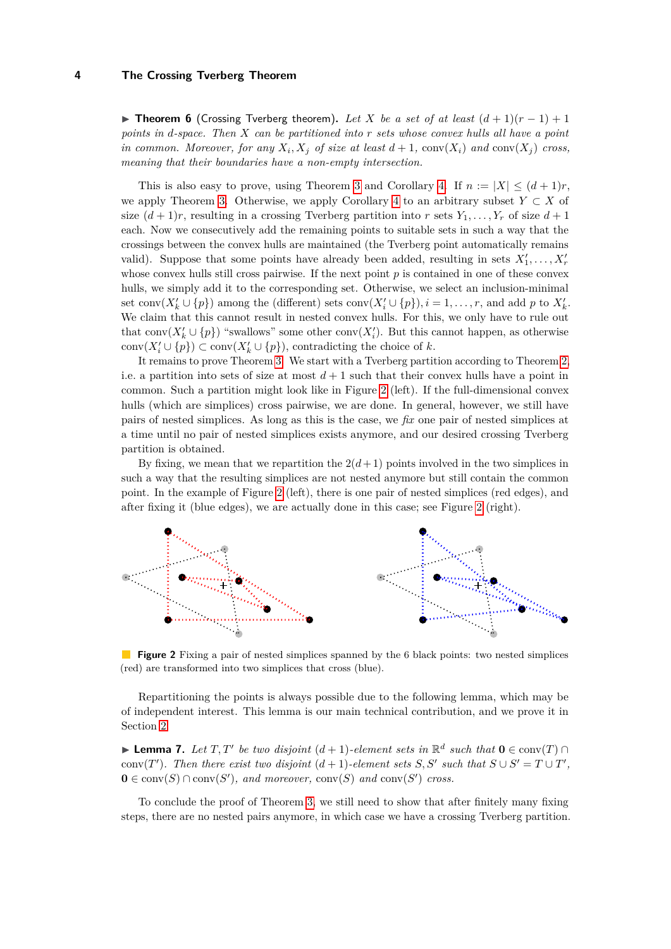**► Theorem 6** (Crossing Tverberg theorem). Let X be a set of at least  $(d+1)(r-1)+1$ *points in d-space. Then X can be partitioned into r sets whose convex hulls all have a point in common. Moreover, for any*  $X_i, X_j$  *of size at least*  $d+1$ ,  $conv(X_i)$  *and*  $conv(X_j)$  *cross, meaning that their boundaries have a non-empty intersection.*

This is also easy to prove, using Theorem [3](#page-2-1) and Corollary [4.](#page-2-2) If  $n := |X| \leq (d+1)r$ , we apply Theorem [3.](#page-2-1) Otherwise, we apply Corollary [4](#page-2-2) to an arbitrary subset  $Y \subset X$  of size  $(d+1)r$ , resulting in a crossing Tverberg partition into *r* sets  $Y_1, \ldots, Y_r$  of size  $d+1$ each. Now we consecutively add the remaining points to suitable sets in such a way that the crossings between the convex hulls are maintained (the Tverberg point automatically remains valid). Suppose that some points have already been added, resulting in sets  $X'_1, \ldots, X'_r$ whose convex hulls still cross pairwise. If the next point *p* is contained in one of these convex hulls, we simply add it to the corresponding set. Otherwise, we select an inclusion-minimal set conv $(X'_{k} \cup \{p\})$  among the (different) sets conv $(X'_{i} \cup \{p\}), i = 1, \ldots, r$ , and add  $p$  to  $X'_{k}$ . We claim that this cannot result in nested convex hulls. For this, we only have to rule out that conv $(X'_k \cup \{p\})$  "swallows" some other conv $(X'_i)$ . But this cannot happen, as otherwise  $conv(X'_{i} \cup \{p\})$  ⊂  $conv(X'_{k} \cup \{p\})$ , contradicting the choice of *k*.

It remains to prove Theorem [3.](#page-2-1) We start with a Tverberg partition according to Theorem [2,](#page-2-0) i.e. a partition into sets of size at most  $d+1$  such that their convex hulls have a point in common. Such a partition might look like in Figure [2](#page-3-0) (left). If the full-dimensional convex hulls (which are simplices) cross pairwise, we are done. In general, however, we still have pairs of nested simplices. As long as this is the case, we *fix* one pair of nested simplices at a time until no pair of nested simplices exists anymore, and our desired crossing Tverberg partition is obtained.

By fixing, we mean that we repartition the  $2(d+1)$  points involved in the two simplices in such a way that the resulting simplices are not nested anymore but still contain the common point. In the example of Figure [2](#page-3-0) (left), there is one pair of nested simplices (red edges), and after fixing it (blue edges), we are actually done in this case; see Figure [2](#page-3-0) (right).

<span id="page-3-0"></span>

**Figure 2** Fixing a pair of nested simplices spanned by the 6 black points: two nested simplices (red) are transformed into two simplices that cross (blue).

Repartitioning the points is always possible due to the following lemma, which may be of independent interest. This lemma is our main technical contribution, and we prove it in Section [2.](#page-4-0)

<span id="page-3-1"></span>**Demma 7.** Let  $T, T'$  be two disjoint  $(d+1)$ -element sets in  $\mathbb{R}^d$  such that  $\mathbf{0} \in \text{conv}(T) \cap \mathbb{R}^d$ conv(*T*<sup>'</sup>). Then there exist two disjoint  $(d+1)$ -element sets *S*, *S*<sup>'</sup> such that  $S \cup S' = T \cup T'$ ,  $\mathbf{0} \in \text{conv}(S) \cap \text{conv}(S')$ , and moreover,  $\text{conv}(S)$  and  $\text{conv}(S')$  cross.

To conclude the proof of Theorem [3,](#page-2-1) we still need to show that after finitely many fixing steps, there are no nested pairs anymore, in which case we have a crossing Tverberg partition.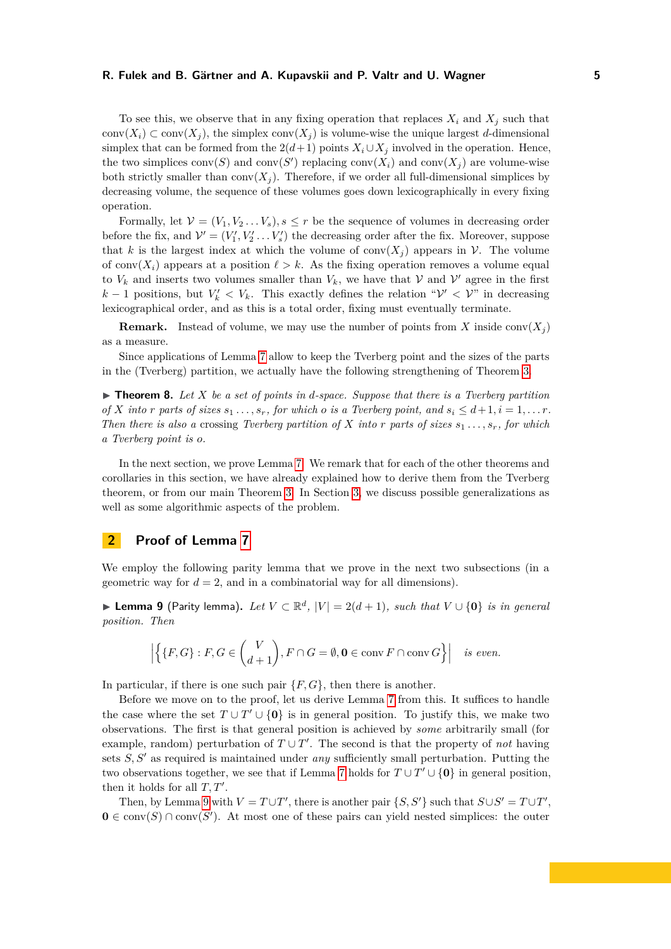To see this, we observe that in any fixing operation that replaces  $X_i$  and  $X_j$  such that conv $(X_i) \subset \text{conv}(X_i)$ , the simplex conv $(X_i)$  is volume-wise the unique largest *d*-dimensional simplex that can be formed from the  $2(d+1)$  points  $X_i \cup X_j$  involved in the operation. Hence, the two simplices  $conv(S)$  and  $conv(S')$  replacing  $conv(X_i)$  and  $conv(X_j)$  are volume-wise both strictly smaller than  $conv(X_i)$ . Therefore, if we order all full-dimensional simplices by decreasing volume, the sequence of these volumes goes down lexicographically in every fixing operation.

Formally, let  $V = (V_1, V_2, \ldots, V_s), s \leq r$  be the sequence of volumes in decreasing order before the fix, and  $\mathcal{V}' = (V'_1, V'_2 \dots V'_s)$  the decreasing order after the fix. Moreover, suppose that *k* is the largest index at which the volume of  $conv(X<sub>j</sub>)$  appears in *V*. The volume of conv $(X_i)$  appears at a position  $\ell > k$ . As the fixing operation removes a volume equal to  $V_k$  and inserts two volumes smaller than  $V_k$ , we have that  $V$  and  $V'$  agree in the first *k* − 1 positions, but  $V'_k$  <  $V_k$ . This exactly defines the relation " $V'$  <  $V$ " in decreasing lexicographical order, and as this is a total order, fixing must eventually terminate.

**Remark.** Instead of volume, we may use the number of points from *X* inside conv( $X_i$ ) as a measure.

Since applications of Lemma [7](#page-3-1) allow to keep the Tverberg point and the sizes of the parts in the (Tverberg) partition, we actually have the following strengthening of Theorem [3.](#page-2-1)

 $\triangleright$  **Theorem 8.** Let X be a set of points in d-space. Suppose that there is a Tverberg partition *of X into r parts of sizes*  $s_1$ ,  $\ldots$ ,  $s_r$ , *for which o is a Tverberg point, and*  $s_i \leq d+1, i = 1, \ldots r$ . *Then there is also a crossing Tverberg partition of*  $X$  *into*  $r$  *parts of sizes*  $s_1, \ldots, s_r$ *, for which a Tverberg point is o.*

In the next section, we prove Lemma [7.](#page-3-1) We remark that for each of the other theorems and corollaries in this section, we have already explained how to derive them from the Tverberg theorem, or from our main Theorem [3.](#page-2-1) In Section [3,](#page-8-0) we discuss possible generalizations as well as some algorithmic aspects of the problem.

## <span id="page-4-0"></span>**2 Proof of Lemma [7](#page-3-1)**

We employ the following parity lemma that we prove in the next two subsections (in a geometric way for  $d = 2$ , and in a combinatorial way for all dimensions).

<span id="page-4-1"></span>▶ **Lemma 9** (Parity lemma). Let  $V \subset \mathbb{R}^d$ ,  $|V| = 2(d+1)$ , such that  $V \cup \{0\}$  is in general *position. Then*

$$
\left| \left\{ \{F, G\} : F, G \in \binom{V}{d+1}, F \cap G = \emptyset, \mathbf{0} \in \text{conv } F \cap \text{conv } G \right\} \right| \text{ is even.}
$$

In particular, if there is one such pair {*F, G*}, then there is another.

Before we move on to the proof, let us derive Lemma [7](#page-3-1) from this. It suffices to handle the case where the set  $T \cup T' \cup \{0\}$  is in general position. To justify this, we make two observations. The first is that general position is achieved by *some* arbitrarily small (for example, random) perturbation of  $T \cup T'$ . The second is that the property of *not* having sets  $S, S'$  as required is maintained under *any* sufficiently small perturbation. Putting the two observations together, we see that if Lemma [7](#page-3-1) holds for  $T \cup T' \cup \{0\}$  in general position, then it holds for all  $T, T'$ .

Then, by Lemma [9](#page-4-1) with  $V = T \cup T'$ , there is another pair  $\{S, S'\}$  such that  $S \cup S' = T \cup T'$ ,  $\mathbf{0} \in \text{conv}(S) \cap \text{conv}(S')$ . At most one of these pairs can yield nested simplices: the outer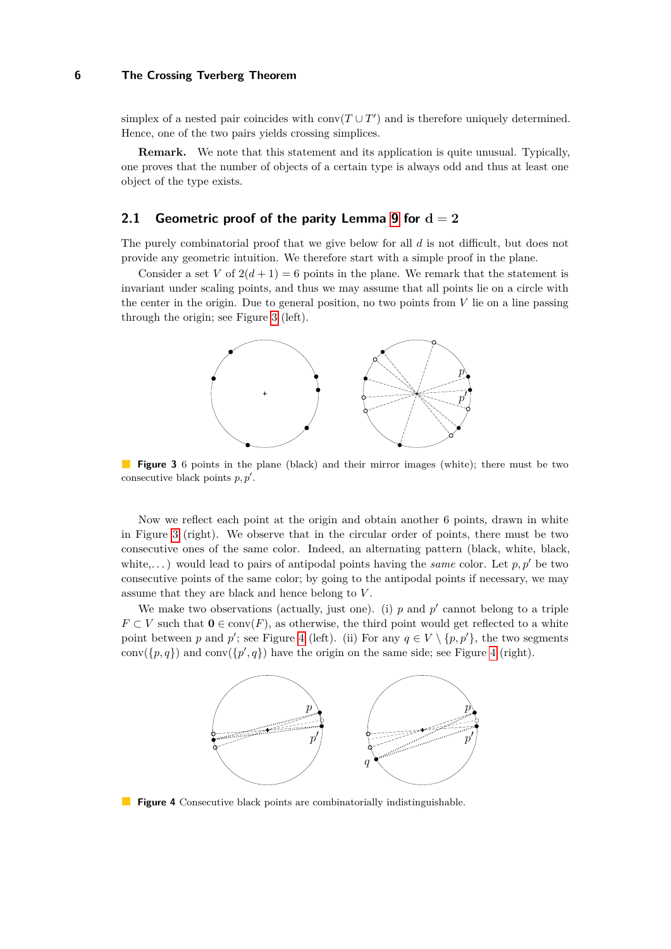simplex of a nested pair coincides with  $conv(T \cup T')$  and is therefore uniquely determined. Hence, one of the two pairs yields crossing simplices.

**Remark.** We note that this statement and its application is quite unusual. Typically, one proves that the number of objects of a certain type is always odd and thus at least one object of the type exists.

# **2.1 Geometric proof of the parity Lemma [9](#page-4-1) for**  $d = 2$

The purely combinatorial proof that we give below for all *d* is not difficult, but does not provide any geometric intuition. We therefore start with a simple proof in the plane.

<span id="page-5-0"></span>Consider a set *V* of  $2(d+1) = 6$  points in the plane. We remark that the statement is invariant under scaling points, and thus we may assume that all points lie on a circle with the center in the origin. Due to general position, no two points from *V* lie on a line passing through the origin; see Figure [3](#page-5-0) (left).



**Figure 3** 6 points in the plane (black) and their mirror images (white); there must be two consecutive black points  $p, p'$ .

Now we reflect each point at the origin and obtain another 6 points, drawn in white in Figure [3](#page-5-0) (right). We observe that in the circular order of points, there must be two consecutive ones of the same color. Indeed, an alternating pattern (black, white, black, white,...) would lead to pairs of antipodal points having the *same* color. Let  $p, p'$  be two consecutive points of the same color; by going to the antipodal points if necessary, we may assume that they are black and hence belong to *V* .

<span id="page-5-1"></span>We make two observations (actually, just one). (i)  $p$  and  $p'$  cannot belong to a triple *F* ⊂ *V* such that  $0 \in \text{conv}(F)$ , as otherwise, the third point would get reflected to a white point between *p* and *p*'; see Figure [4](#page-5-1) (left). (ii) For any  $q \in V \setminus \{p, p'\}$ , the two segments  $conv({p, q})$  and  $conv({p', q})$  have the origin on the same side; see Figure [4](#page-5-1) (right).



**Figure 4** Consecutive black points are combinatorially indistinguishable.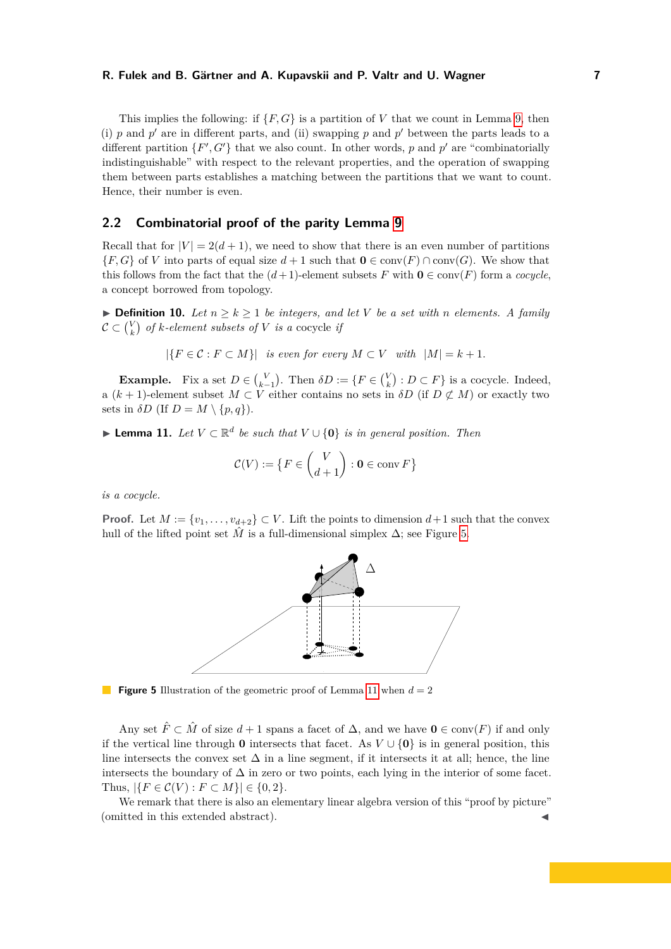This implies the following: if  $\{F, G\}$  is a partition of *V* that we count in Lemma [9,](#page-4-1) then (i)  $p$  and  $p'$  are in different parts, and (ii) swapping  $p$  and  $p'$  between the parts leads to a different partition  $\{F', G'\}$  that we also count. In other words, p and p' are "combinatorially indistinguishable" with respect to the relevant properties, and the operation of swapping them between parts establishes a matching between the partitions that we want to count. Hence, their number is even.

# **2.2 Combinatorial proof of the parity Lemma [9](#page-4-1)**

Recall that for  $|V| = 2(d+1)$ , we need to show that there is an even number of partitions  ${F, G}$  of *V* into parts of equal size  $d + 1$  such that  $\mathbf{0} \in \text{conv}(F) \cap \text{conv}(G)$ . We show that this follows from the fact that the  $(d+1)$ -element subsets *F* with  $\mathbf{0} \in \text{conv}(F)$  form a *cocycle*. a concept borrowed from topology.

▶ **Definition 10.** *Let*  $n \geq k \geq 1$  *be integers, and let V be a set with n elements.* A family  $\mathcal{C} \subset {V \choose k}$  *of*  $k$ -element subsets of  $V$  is a cocycle if

$$
|\{F \in \mathcal{C} : F \subset M\}|
$$
 is even for every  $M \subset V$  with  $|M| = k + 1$ .

**Example.** Fix a set  $D \in \binom{V}{k-1}$ . Then  $\delta D := \{ F \in \binom{V}{k} : D \subset F \}$  is a cocycle. Indeed, a  $(k + 1)$ -element subset  $M \subset V$  either contains no sets in  $\delta D$  (if  $D \not\subset M$ ) or exactly two sets in  $\delta D$  (If  $D = M \setminus \{p, q\}$ ).

<span id="page-6-1"></span>▶ **Lemma 11.** *Let*  $V \subset \mathbb{R}^d$  *be such that*  $V \cup \{0\}$  *is in general position. Then* 

$$
\mathcal{C}(V) := \left\{ F \in \binom{V}{d+1} : \mathbf{0} \in \operatorname{conv} F \right\}
$$

*is a cocycle.*

<span id="page-6-0"></span>**Proof.** Let  $M := \{v_1, \ldots, v_{d+2}\} \subset V$ . Lift the points to dimension  $d+1$  such that the convex hull of the lifted point set  $\hat{M}$  is a full-dimensional simplex  $\Delta$ ; see Figure [5.](#page-6-0)



**Figure 5** Illustration of the geometric proof of Lemma [11](#page-6-1) when  $d = 2$ 

Any set  $\hat{F} \subset \hat{M}$  of size  $d+1$  spans a facet of  $\Delta$ , and we have  $\mathbf{0} \in \text{conv}(F)$  if and only if the vertical line through **0** intersects that facet. As  $V \cup \{0\}$  is in general position, this line intersects the convex set  $\Delta$  in a line segment, if it intersects it at all; hence, the line intersects the boundary of  $\Delta$  in zero or two points, each lying in the interior of some facet. Thus,  $|\{F \in C(V) : F \subset M\}| \in \{0, 2\}.$ 

We remark that there is also an elementary linear algebra version of this "proof by picture" (omitted in this extended abstract).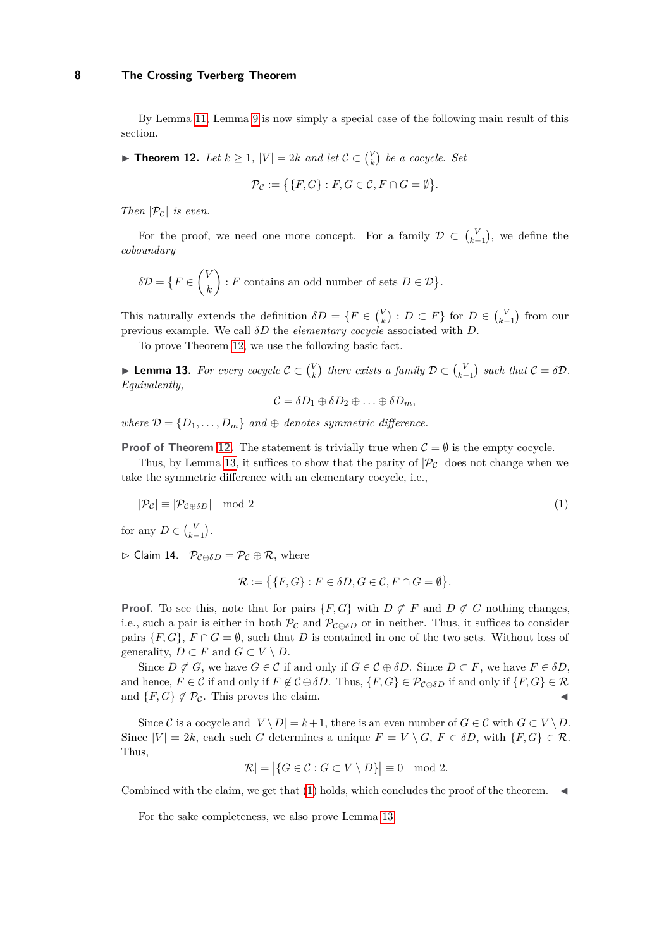By Lemma [11,](#page-6-1) Lemma [9](#page-4-1) is now simply a special case of the following main result of this section.

<span id="page-7-0"></span>▶ **Theorem 12.** *Let*  $k \geq 1$ ,  $|V| = 2k$  *and let*  $C \subset {V \choose k}$  *be a cocycle. Set* 

$$
\mathcal{P}_{\mathcal{C}} := \{ \{ F, G \} : F, G \in \mathcal{C}, F \cap G = \emptyset \}.
$$

*Then*  $|\mathcal{P}_c|$  *is even.* 

For the proof, we need one more concept. For a family  $\mathcal{D} \subset {V \choose k-1}$ , we define the *coboundary*

$$
\delta \mathcal{D} = \left\{ F \in \binom{V}{k} : F \text{ contains an odd number of sets } D \in \mathcal{D} \right\}.
$$

This naturally extends the definition  $\delta D = \{F \in {V \choose k} : D \subset F\}$  for  $D \in {V \choose k-1}$  from our previous example. We call *δD* the *elementary cocycle* associated with *D*.

To prove Theorem [12,](#page-7-0) we use the following basic fact.

<span id="page-7-1"></span>**Example 13.** For every cocycle  $C \subset {V \choose k}$  there exists a family  $D \subset {V \choose k-1}$  such that  $C = \delta D$ . *Equivalently,*

<span id="page-7-2"></span>
$$
\mathcal{C}=\delta D_1\oplus \delta D_2\oplus \ldots \oplus \delta D_m,
$$

*where*  $\mathcal{D} = \{D_1, \ldots, D_m\}$  *and*  $\oplus$  *denotes symmetric difference.* 

**Proof of Theorem [12.](#page-7-0)** The statement is trivially true when  $C = \emptyset$  is the empty cocycle.

Thus, by Lemma [13,](#page-7-1) it suffices to show that the parity of  $|\mathcal{P}_C|$  does not change when we take the symmetric difference with an elementary cocycle, i.e.,

 $|\mathcal{P}_\mathcal{C}| \equiv |\mathcal{P}_{\mathcal{C} \oplus \delta D}| \mod 2$  (1)

for any  $D \in \binom{V}{k-1}$ .

 $\triangleright$  Claim 14.  $\mathcal{P}_{\mathcal{C} \oplus \delta D} = \mathcal{P}_{\mathcal{C}} \oplus \mathcal{R}$ , where

$$
\mathcal{R} := \{ \{F, G\} : F \in \delta D, G \in \mathcal{C}, F \cap G = \emptyset \}.
$$

**Proof.** To see this, note that for pairs  $\{F, G\}$  with  $D \not\subset F$  and  $D \not\subset G$  nothing changes, i.e., such a pair is either in both  $\mathcal{P}_{\mathcal{C}}$  and  $\mathcal{P}_{\mathcal{C} \oplus \delta D}$  or in neither. Thus, it suffices to consider pairs  $\{F, G\}$ ,  $F \cap G = \emptyset$ , such that *D* is contained in one of the two sets. Without loss of generality,  $D \subset F$  and  $G \subset V \setminus D$ .

Since  $D \not\subset G$ , we have  $G \in \mathcal{C}$  if and only if  $G \in \mathcal{C} \oplus \delta D$ . Since  $D \subset F$ , we have  $F \in \delta D$ , and hence,  $F \in \mathcal{C}$  if and only if  $F \notin \mathcal{C} \oplus \delta D$ . Thus,  $\{F, G\} \in \mathcal{P}_{\mathcal{C} \oplus \delta D}$  if and only if  $\{F, G\} \in \mathcal{R}$ and  ${F, G} \notin \mathcal{P}_{\mathcal{C}}$ . This proves the claim.

Since C is a cocycle and  $|V \setminus D| = k + 1$ , there is an even number of  $G \in \mathcal{C}$  with  $G \subset V \setminus D$ . Since  $|V| = 2k$ , each such *G* determines a unique  $F = V \setminus G$ ,  $F \in \delta D$ , with  $\{F, G\} \in \mathcal{R}$ . Thus,

$$
|\mathcal{R}| = |\{G \in \mathcal{C} : G \subset V \setminus D\}| \equiv 0 \mod 2.
$$

Combined with the claim, we get that  $(1)$  holds, which concludes the proof of the theorem.

For the sake completeness, we also prove Lemma [13.](#page-7-1)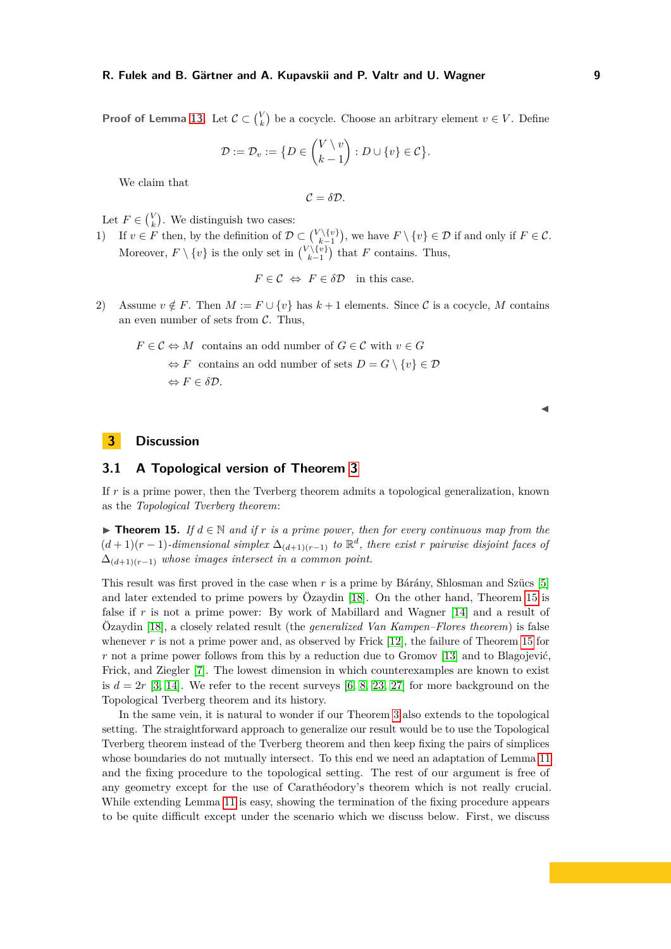**Proof of Lemma [13.](#page-7-1)** Let  $\mathcal{C} \subset \binom{V}{k}$  be a cocycle. Choose an arbitrary element  $v \in V$ . Define

$$
\mathcal{D} := \mathcal{D}_v := \{ D \in \binom{V \setminus v}{k-1} : D \cup \{ v \} \in \mathcal{C} \}.
$$

We claim that

 $C = \delta \mathcal{D}$ .

Let  $F \in \binom{V}{k}$ . We distinguish two cases:

1) If  $v \in F$  then, by the definition of  $\mathcal{D} \subset {V \setminus \{v\}}$ , we have  $F \setminus \{v\} \in \mathcal{D}$  if and only if  $F \in \mathcal{C}$ . Moreover,  $F \setminus \{v\}$  is the only set in  $\binom{V \setminus \{v\}}{k-1}$  that  $F$  contains. Thus,

$$
F \in \mathcal{C} \Leftrightarrow F \in \delta \mathcal{D}
$$
 in this case.

2) Assume  $v \notin F$ . Then  $M := F \cup \{v\}$  has  $k+1$  elements. Since C is a cocycle, M contains an even number of sets from  $\mathcal{C}$ . Thus,

$$
F \in C \Leftrightarrow M \text{ contains an odd number of } G \in C \text{ with } v \in G
$$

$$
\Leftrightarrow F \text{ contains an odd number of sets } D = G \setminus \{v\} \in \mathcal{D}
$$

$$
\Leftrightarrow F \in \delta \mathcal{D}.
$$

 $\blacktriangleleft$ 

# <span id="page-8-0"></span>**3 Discussion**

## **3.1 A Topological version of Theorem [3](#page-2-1)**

If *r* is a prime power, then the Tverberg theorem admits a topological generalization, known as the *Topological Tverberg theorem*:

<span id="page-8-1"></span>**► Theorem 15.** If  $d \in \mathbb{N}$  and if r is a prime power, then for every continuous map from the  $(d+1)(r-1)$ *-dimensional simplex*  $\Delta_{(d+1)(r-1)}$  *to*  $\mathbb{R}^d$ , *there exist r pairwise disjoint faces of* ∆(*d*+1)(*r*−1) *whose images intersect in a common point.*

This result was first proved in the case when *r* is a prime by Bárány, Shlosman and Szücs [\[5\]](#page-12-3) and later extended to prime powers by Özaydin [\[18\]](#page-12-4). On the other hand, Theorem [15](#page-8-1) is false if r is not a prime power: By work of Mabillard and Wagner [\[14\]](#page-12-5) and a result of Özaydin [\[18\]](#page-12-4), a closely related result (the *generalized Van Kampen–Flores theorem*) is false whenever r is not a prime power and, as observed by Frick [\[12\]](#page-12-6), the failure of Theorem [15](#page-8-1) for *r* not a prime power follows from this by a reduction due to Gromov [\[13\]](#page-12-7) and to Blagojević, Frick, and Ziegler [\[7\]](#page-12-8). The lowest dimension in which counterexamples are known to exist is  $d = 2r$  [\[3,](#page-12-9) [14\]](#page-12-5). We refer to the recent surveys [\[6,](#page-12-1) [8,](#page-12-10) [23,](#page-12-11) [27\]](#page-13-2) for more background on the Topological Tverberg theorem and its history.

In the same vein, it is natural to wonder if our Theorem [3](#page-2-1) also extends to the topological setting. The straightforward approach to generalize our result would be to use the Topological Tverberg theorem instead of the Tverberg theorem and then keep fixing the pairs of simplices whose boundaries do not mutually intersect. To this end we need an adaptation of Lemma [11](#page-6-1) and the fixing procedure to the topological setting. The rest of our argument is free of any geometry except for the use of Carathéodory's theorem which is not really crucial. While extending Lemma [11](#page-6-1) is easy, showing the termination of the fixing procedure appears to be quite difficult except under the scenario which we discuss below. First, we discuss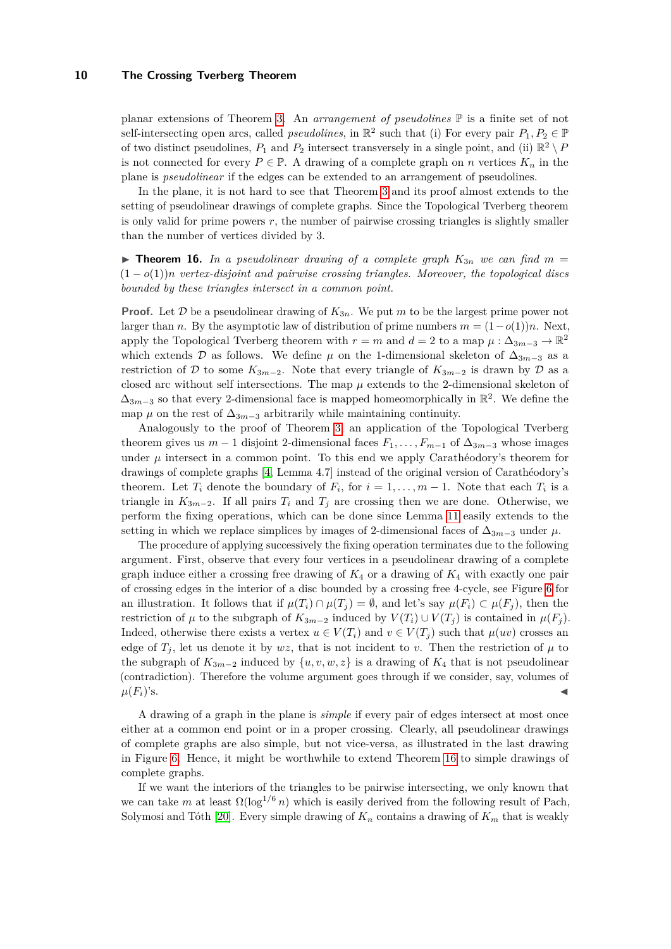planar extensions of Theorem [3.](#page-2-1) An *arrangement of pseudolines* P is a finite set of not self-intersecting open arcs, called *pseudolines*, in  $\mathbb{R}^2$  such that (i) For every pair  $P_1, P_2 \in \mathbb{P}$ of two distinct pseudolines,  $P_1$  and  $P_2$  intersect transversely in a single point, and (ii)  $\mathbb{R}^2 \setminus P_1$ is not connected for every  $P \in \mathbb{P}$ . A drawing of a complete graph on *n* vertices  $K_n$  in the plane is *pseudolinear* if the edges can be extended to an arrangement of pseudolines.

In the plane, it is not hard to see that Theorem [3](#page-2-1) and its proof almost extends to the setting of pseudolinear drawings of complete graphs. Since the Topological Tverberg theorem is only valid for prime powers  $r$ , the number of pairwise crossing triangles is slightly smaller than the number of vertices divided by 3.

<span id="page-9-0"></span>**Findam 16.** *In a pseudolinear drawing of a complete graph*  $K_{3n}$  *we can find*  $m =$ (1 − *o*(1))*n vertex-disjoint and pairwise crossing triangles. Moreover, the topological discs bounded by these triangles intersect in a common point.*

**Proof.** Let  $\mathcal{D}$  be a pseudolinear drawing of  $K_{3n}$ . We put *m* to be the largest prime power not larger than *n*. By the asymptotic law of distribution of prime numbers  $m = (1 - o(1))n$ . Next, apply the Topological Tverberg theorem with  $r = m$  and  $d = 2$  to a map  $\mu : \Delta_{3m-3} \to \mathbb{R}^2$ which extends  $\mathcal{D}$  as follows. We define  $\mu$  on the 1-dimensional skeleton of  $\Delta_{3m-3}$  as a restriction of D to some  $K_{3m-2}$ . Note that every triangle of  $K_{3m-2}$  is drawn by D as a closed arc without self intersections. The map *µ* extends to the 2-dimensional skeleton of  $\Delta_{3m-3}$  so that every 2-dimensional face is mapped homeomorphically in  $\mathbb{R}^2$ . We define the map  $\mu$  on the rest of  $\Delta_{3m-3}$  arbitrarily while maintaining continuity.

Analogously to the proof of Theorem [3,](#page-2-1) an application of the Topological Tverberg theorem gives us  $m-1$  disjoint 2-dimensional faces  $F_1, \ldots, F_{m-1}$  of  $\Delta_{3m-3}$  whose images under  $\mu$  intersect in a common point. To this end we apply Carathéodory's theorem for drawings of complete graphs [\[4,](#page-12-12) Lemma 4.7] instead of the original version of Carathéodory's theorem. Let  $T_i$  denote the boundary of  $F_i$ , for  $i = 1, \ldots, m-1$ . Note that each  $T_i$  is a triangle in  $K_{3m-2}$ . If all pairs  $T_i$  and  $T_j$  are crossing then we are done. Otherwise, we perform the fixing operations, which can be done since Lemma [11](#page-6-1) easily extends to the setting in which we replace simplices by images of 2-dimensional faces of  $\Delta_{3m-3}$  under  $\mu$ .

The procedure of applying successively the fixing operation terminates due to the following argument. First, observe that every four vertices in a pseudolinear drawing of a complete graph induce either a crossing free drawing of *K*<sup>4</sup> or a drawing of *K*<sup>4</sup> with exactly one pair of crossing edges in the interior of a disc bounded by a crossing free 4-cycle, see Figure [6](#page-10-1) for an illustration. It follows that if  $\mu(T_i) \cap \mu(T_j) = \emptyset$ , and let's say  $\mu(F_i) \subset \mu(F_j)$ , then the restriction of  $\mu$  to the subgraph of  $K_{3m-2}$  induced by  $V(T_i) \cup V(T_j)$  is contained in  $\mu(F_i)$ . Indeed, otherwise there exists a vertex  $u \in V(T_i)$  and  $v \in V(T_i)$  such that  $\mu(uv)$  crosses an edge of  $T_i$ , let us denote it by  $wz$ , that is not incident to *v*. Then the restriction of  $\mu$  to the subgraph of  $K_{3m-2}$  induced by  $\{u, v, w, z\}$  is a drawing of  $K_4$  that is not pseudolinear (contradiction). Therefore the volume argument goes through if we consider, say, volumes of  $\mu(F_i)$ 's.

A drawing of a graph in the plane is *simple* if every pair of edges intersect at most once either at a common end point or in a proper crossing. Clearly, all pseudolinear drawings of complete graphs are also simple, but not vice-versa, as illustrated in the last drawing in Figure [6.](#page-10-1) Hence, it might be worthwhile to extend Theorem [16](#page-9-0) to simple drawings of complete graphs.

If we want the interiors of the triangles to be pairwise intersecting, we only known that we can take *m* at least  $\Omega(\log^{1/6} n)$  which is easily derived from the following result of Pach, Solymosi and Tóth [\[20\]](#page-12-13). Every simple drawing of  $K_n$  contains a drawing of  $K_m$  that is weakly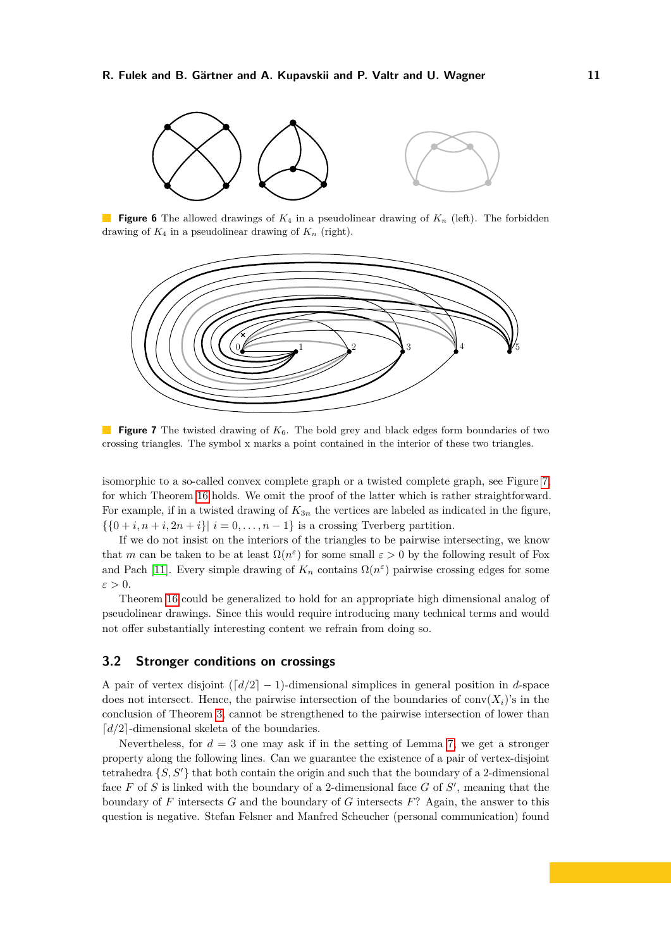<span id="page-10-1"></span>

**Figure 6** The allowed drawings of *K*<sup>4</sup> in a pseudolinear drawing of *K<sup>n</sup>* (left). The forbidden drawing of  $K_4$  in a pseudolinear drawing of  $K_n$  (right).

<span id="page-10-2"></span>

**Figure 7** The twisted drawing of  $K_6$ . The bold grey and black edges form boundaries of two crossing triangles. The symbol x marks a point contained in the interior of these two triangles.

isomorphic to a so-called convex complete graph or a twisted complete graph, see Figure [7,](#page-10-2) for which Theorem [16](#page-9-0) holds. We omit the proof of the latter which is rather straightforward. For example, if in a twisted drawing of  $K_{3n}$  the vertices are labeled as indicated in the figure,  $\{\{0+i, n+i, 2n+i\} \mid i=0,\ldots,n-1\}$  is a crossing Tverberg partition.

If we do not insist on the interiors of the triangles to be pairwise intersecting, we know that *m* can be taken to be at least  $\Omega(n^{\epsilon})$  for some small  $\varepsilon > 0$  by the following result of Fox and Pach [\[11\]](#page-12-14). Every simple drawing of  $K_n$  contains  $\Omega(n^{\epsilon})$  pairwise crossing edges for some *ε >* 0.

Theorem [16](#page-9-0) could be generalized to hold for an appropriate high dimensional analog of pseudolinear drawings. Since this would require introducing many technical terms and would not offer substantially interesting content we refrain from doing so.

## <span id="page-10-0"></span>**3.2 Stronger conditions on crossings**

A pair of vertex disjoint  $\left(\frac{d}{2} - 1\right)$ -dimensional simplices in general position in *d*-space does not intersect. Hence, the pairwise intersection of the boundaries of  $conv(X_i)$ 's in the conclusion of Theorem [3,](#page-2-1) cannot be strengthened to the pairwise intersection of lower than  $\lceil d/2 \rceil$ -dimensional skeleta of the boundaries.

Nevertheless, for  $d = 3$  one may ask if in the setting of Lemma [7,](#page-3-1) we get a stronger property along the following lines. Can we guarantee the existence of a pair of vertex-disjoint tetrahedra  $\{S, S'\}$  that both contain the origin and such that the boundary of a 2-dimensional face  $F$  of  $S$  is linked with the boundary of a 2-dimensional face  $G$  of  $S'$ , meaning that the boundary of *F* intersects *G* and the boundary of *G* intersects *F*? Again, the answer to this question is negative. Stefan Felsner and Manfred Scheucher (personal communication) found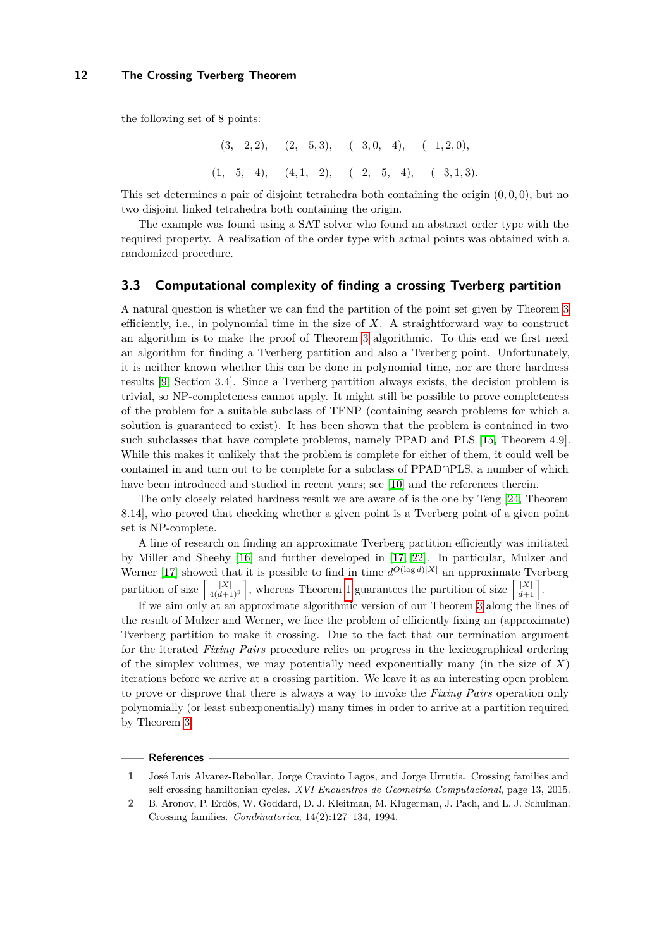the following set of 8 points:

$$
(3, -2, 2),
$$
  $(2, -5, 3),$   $(-3, 0, -4),$   $(-1, 2, 0),$   
 $(1, -5, -4),$   $(4, 1, -2),$   $(-2, -5, -4),$   $(-3, 1, 3).$ 

This set determines a pair of disjoint tetrahedra both containing the origin (0*,* 0*,* 0), but no two disjoint linked tetrahedra both containing the origin.

The example was found using a SAT solver who found an abstract order type with the required property. A realization of the order type with actual points was obtained with a randomized procedure.

## **3.3 Computational complexity of finding a crossing Tverberg partition**

A natural question is whether we can find the partition of the point set given by Theorem [3](#page-2-1) efficiently, i.e., in polynomial time in the size of *X*. A straightforward way to construct an algorithm is to make the proof of Theorem [3](#page-2-1) algorithmic. To this end we first need an algorithm for finding a Tverberg partition and also a Tverberg point. Unfortunately, it is neither known whether this can be done in polynomial time, nor are there hardness results [\[9,](#page-12-15) Section 3.4]. Since a Tverberg partition always exists, the decision problem is trivial, so NP-completeness cannot apply. It might still be possible to prove completeness of the problem for a suitable subclass of TFNP (containing search problems for which a solution is guaranteed to exist). It has been shown that the problem is contained in two such subclasses that have complete problems, namely PPAD and PLS [\[15,](#page-12-16) Theorem 4.9]. While this makes it unlikely that the problem is complete for either of them, it could well be contained in and turn out to be complete for a subclass of PPAD∩PLS, a number of which have been introduced and studied in recent years; see [\[10\]](#page-12-17) and the references therein.

The only closely related hardness result we are aware of is the one by Teng [\[24,](#page-12-18) Theorem 8.14], who proved that checking whether a given point is a Tverberg point of a given point set is NP-complete.

A line of research on finding an approximate Tverberg partition efficiently was initiated by Miller and Sheehy [\[16\]](#page-12-19) and further developed in [\[17,](#page-12-20) [22\]](#page-12-21). In particular, Mulzer and Werner [\[17\]](#page-12-20) showed that it is possible to find in time  $d^{O(\log d)|X|}$  an approximate Tverberg partition of size  $\left[\frac{|X|}{4(d+1)^3}\right]$ , whereas Theorem [1](#page-1-1) guarantees the partition of size  $\left[\frac{|X|}{d+1}\right]$ .

If we aim only at an approximate algorithmic version of our Theorem [3](#page-2-1) along the lines of the result of Mulzer and Werner, we face the problem of efficiently fixing an (approximate) Tverberg partition to make it crossing. Due to the fact that our termination argument for the iterated *Fixing Pairs* procedure relies on progress in the lexicographical ordering of the simplex volumes, we may potentially need exponentially many (in the size of *X*) iterations before we arrive at a crossing partition. We leave it as an interesting open problem to prove or disprove that there is always a way to invoke the *Fixing Pairs* operation only polynomially (or least subexponentially) many times in order to arrive at a partition required by Theorem [3.](#page-2-1)

#### **References**

<span id="page-11-1"></span>**<sup>1</sup>** José Luis Alvarez-Rebollar, Jorge Cravioto Lagos, and Jorge Urrutia. Crossing families and self crossing hamiltonian cycles. *XVI Encuentros de Geometría Computacional*, page 13, 2015.

<span id="page-11-0"></span>**<sup>2</sup>** B. Aronov, P. Erdős, W. Goddard, D. J. Kleitman, M. Klugerman, J. Pach, and L. J. Schulman. Crossing families. *Combinatorica*, 14(2):127–134, 1994.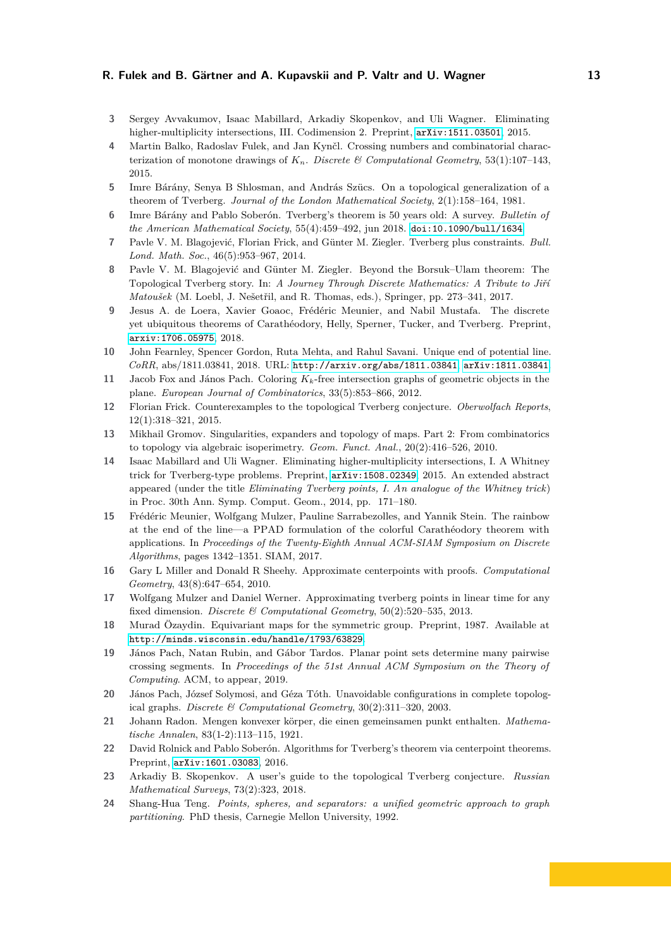- <span id="page-12-9"></span>**3** Sergey Avvakumov, Isaac Mabillard, Arkadiy Skopenkov, and Uli Wagner. Eliminating higher-multiplicity intersections, III. Codimension 2. Preprint,  $arXiv:1511.03501, 2015$  $arXiv:1511.03501, 2015$ .
- <span id="page-12-12"></span>**4** Martin Balko, Radoslav Fulek, and Jan Kynčl. Crossing numbers and combinatorial characterization of monotone drawings of  $K_n$ . *Discrete & Computational Geometry*, 53(1):107-143, 2015.
- <span id="page-12-3"></span>**5** Imre Bárány, Senya B Shlosman, and András Szücs. On a topological generalization of a theorem of Tverberg. *Journal of the London Mathematical Society*, 2(1):158–164, 1981.
- <span id="page-12-1"></span>**6** Imre Bárány and Pablo Soberón. Tverberg's theorem is 50 years old: A survey. *Bulletin of the American Mathematical Society*, 55(4):459–492, jun 2018. [doi:10.1090/bull/1634](http://dx.doi.org/10.1090/bull/1634).
- <span id="page-12-8"></span>**7** Pavle V. M. Blagojević, Florian Frick, and Günter M. Ziegler. Tverberg plus constraints. *Bull. Lond. Math. Soc.*, 46(5):953–967, 2014.
- <span id="page-12-10"></span>**8** Pavle V. M. Blagojević and Günter M. Ziegler. Beyond the Borsuk–Ulam theorem: The Topological Tverberg story. In: *A Journey Through Discrete Mathematics: A Tribute to Jiří Matoušek* (M. Loebl, J. Nešetřil, and R. Thomas, eds.), Springer, pp. 273–341, 2017.
- <span id="page-12-15"></span>**9** Jesus A. de Loera, Xavier Goaoc, Frédéric Meunier, and Nabil Mustafa. The discrete yet ubiquitous theorems of Carathéodory, Helly, Sperner, Tucker, and Tverberg. Preprint, <arxiv:1706.05975>, 2018.
- <span id="page-12-17"></span>**10** John Fearnley, Spencer Gordon, Ruta Mehta, and Rahul Savani. Unique end of potential line. *CoRR*, abs/1811.03841, 2018. URL: <http://arxiv.org/abs/1811.03841>, [arXiv:1811.03841](http://arxiv.org/abs/1811.03841).
- <span id="page-12-14"></span>**11** Jacob Fox and János Pach. Coloring *Kk*-free intersection graphs of geometric objects in the plane. *European Journal of Combinatorics*, 33(5):853–866, 2012.
- <span id="page-12-6"></span>**12** Florian Frick. Counterexamples to the topological Tverberg conjecture. *Oberwolfach Reports*, 12(1):318–321, 2015.
- <span id="page-12-7"></span>**13** Mikhail Gromov. Singularities, expanders and topology of maps. Part 2: From combinatorics to topology via algebraic isoperimetry. *Geom. Funct. Anal.*, 20(2):416–526, 2010.
- <span id="page-12-5"></span>**14** Isaac Mabillard and Uli Wagner. Eliminating higher-multiplicity intersections, I. A Whitney trick for Tverberg-type problems. Preprint, <arXiv:1508.02349>, 2015. An extended abstract appeared (under the title *Eliminating Tverberg points, I. An analogue of the Whitney trick*) in Proc. 30th Ann. Symp. Comput. Geom., 2014, pp. 171–180.
- <span id="page-12-16"></span>**15** Frédéric Meunier, Wolfgang Mulzer, Pauline Sarrabezolles, and Yannik Stein. The rainbow at the end of the line—a PPAD formulation of the colorful Carathéodory theorem with applications. In *Proceedings of the Twenty-Eighth Annual ACM-SIAM Symposium on Discrete Algorithms*, pages 1342–1351. SIAM, 2017.
- <span id="page-12-19"></span>**16** Gary L Miller and Donald R Sheehy. Approximate centerpoints with proofs. *Computational Geometry*, 43(8):647–654, 2010.
- <span id="page-12-20"></span>**17** Wolfgang Mulzer and Daniel Werner. Approximating tverberg points in linear time for any fixed dimension. *Discrete & Computational Geometry*, 50(2):520–535, 2013.
- <span id="page-12-4"></span>**18** Murad Özaydin. Equivariant maps for the symmetric group. Preprint, 1987. Available at <http://minds.wisconsin.edu/handle/1793/63829>.
- <span id="page-12-2"></span>**19** János Pach, Natan Rubin, and Gábor Tardos. Planar point sets determine many pairwise crossing segments. In *Proceedings of the 51st Annual ACM Symposium on the Theory of Computing*. ACM, to appear, 2019.
- <span id="page-12-13"></span>**20** János Pach, József Solymosi, and Géza Tóth. Unavoidable configurations in complete topological graphs. *Discrete & Computational Geometry*, 30(2):311–320, 2003.
- <span id="page-12-0"></span>**21** Johann Radon. Mengen konvexer körper, die einen gemeinsamen punkt enthalten. *Mathematische Annalen*, 83(1-2):113–115, 1921.
- <span id="page-12-21"></span>**22** David Rolnick and Pablo Soberón. Algorithms for Tverberg's theorem via centerpoint theorems. Preprint, <arXiv:1601.03083>, 2016.
- <span id="page-12-11"></span>**23** Arkadiy B. Skopenkov. A user's guide to the topological Tverberg conjecture. *Russian Mathematical Surveys*, 73(2):323, 2018.
- <span id="page-12-18"></span>**24** Shang-Hua Teng. *Points, spheres, and separators: a unified geometric approach to graph partitioning*. PhD thesis, Carnegie Mellon University, 1992.